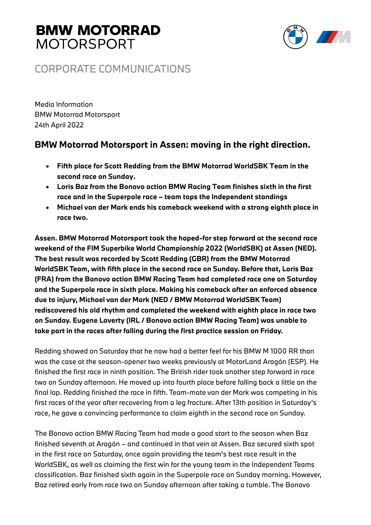

### CORPORATE COMMUNICATIONS

Media Information BMW Motorrad Motorsport 24th April 2022

### **BMW Motorrad Motorsport in Assen: moving in the right direction.**

- **Fifth place for Scott Redding from the BMW Motorrad WorldSBK Team in the second race on Sunday.**
- **Loris Baz from the Bonovo action BMW Racing Team finishes sixth in the first race and in the Superpole race – team tops the Independent standings**
- **Michael van der Mark ends his comeback weekend with a strong eighth place in race two.**

**Assen. BMW Motorrad Motorsport took the hoped-for step forward at the second race weekend of the FIM Superbike World Championship 2022 (WorldSBK) at Assen (NED). The best result was recorded by Scott Redding (GBR) from the BMW Motorrad WorldSBK Team, with fifth place in the second race on Sunday. Before that, Loris Baz (FRA) from the Bonovo action BMW Racing Team had completed race one on Saturday and the Superpole race in sixth place. Making his comeback after an enforced absence due to injury, Michael van der Mark (NED / BMW Motorrad WorldSBK Team) rediscovered his old rhythm and completed the weekend with eighth place in race two on Sunday. Eugene Laverty (IRL / Bonovo action BMW Racing Team) was unable to take part in the races after falling during the first practice session on Friday.**

Redding showed on Saturday that he now had a better feel for his BMW M 1000 RR than was the case at the season-opener two weeks previously at MotorLand Aragón (ESP). He finished the first race in ninth position. The British rider took another step forward in race two on Sunday afternoon. He moved up into fourth place before falling back a little on the final lap. Redding finished the race in fifth. Team-mate van der Mark was competing in his first races of the year after recovering from a leg fracture. After 13th position in Saturday's race, he gave a convincing performance to claim eighth in the second race on Sunday.

The Bonovo action BMW Racing Team had made a good start to the season when Baz finished seventh at Aragón – and continued in that vein at Assen. Baz secured sixth spot in the first race on Saturday, once again providing the team's best race result in the WorldSBK, as well as claiming the first win for the young team in the Independent Teams classification. Baz finished sixth again in the Superpole race on Sunday morning. However, Baz retired early from race two on Sunday afternoon after taking a tumble. The Bonovo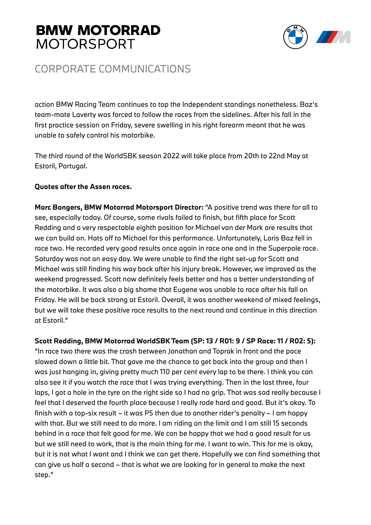

### CORPORATE COMMUNICATIONS

action BMW Racing Team continues to top the Independent standings nonetheless. Baz's team-mate Laverty was forced to follow the races from the sidelines. After his fall in the first practice session on Friday, severe swelling in his right forearm meant that he was unable to safely control his motorbike.

The third round of the WorldSBK season 2022 will take place from 20th to 22nd May at Estoril, Portugal.

### **Quotes after the Assen races.**

**Marc Bongers, BMW Motorrad Motorsport Director:** "A positive trend was there for all to see, especially today. Of course, some rivals failed to finish, but fifth place for Scott Redding and a very respectable eighth position for Michael van der Mark are results that we can build on. Hats off to Michael for this performance. Unfortunately, Loris Baz fell in race two. He recorded very good results once again in race one and in the Superpole race. Saturday was not an easy day. We were unable to find the right set-up for Scott and Michael was still finding his way back after his injury break. However, we improved as the weekend progressed. Scott now definitely feels better and has a better understanding of the motorbike. It was also a big shame that Eugene was unable to race after his fall on Friday. He will be back strong at Estoril. Overall, it was another weekend of mixed feelings, but we will take these positive race results to the next round and continue in this direction at Estoril."

### **Scott Redding, BMW Motorrad WorldSBK Team (SP: 13 / R01: 9 / SP Race: 11 / R02: 5):**

"In race two there was the crash between Jonathan and Toprak in front and the pace slowed down a little bit. That gave me the chance to get back into the group and then I was just hanging in, giving pretty much 110 per cent every lap to be there. I think you can also see it if you watch the race that I was trying everything. Then in the last three, four laps, I got a hole in the tyre on the right side so I had no grip. That was sad really because I feel that I deserved the fourth place because I really rode hard and good. But it's okay. To finish with a top-six result – it was P5 then due to another rider's penalty – I am happy with that. But we still need to do more. I am riding on the limit and I am still 15 seconds behind in a race that felt good for me. We can be happy that we had a good result for us but we still need to work, that is the main thing for me. I want to win. This for me is okay, but it is not what I want and I think we can get there. Hopefully we can find something that can give us half a second – that is what we are looking for in general to make the next step."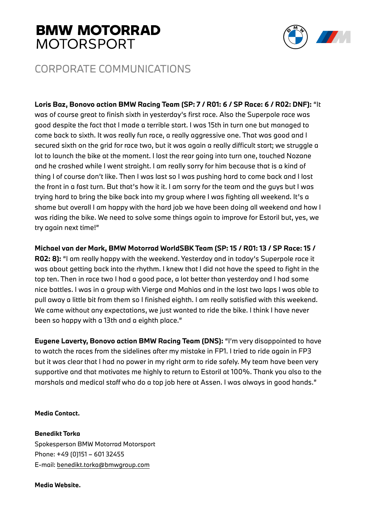

### CORPORATE COMMUNICATIONS

**Loris Baz, Bonovo action BMW Racing Team (SP: 7 / R01: 6 / SP Race: 6 / R02: DNF):** "It was of course great to finish sixth in yesterday's first race. Also the Superpole race was good despite the fact that I made a terrible start. I was 15th in turn one but managed to come back to sixth. It was really fun race, a really aggressive one. That was good and I secured sixth on the grid for race two, but it was again a really difficult start; we struggle a lot to launch the bike at the moment. I lost the rear going into turn one, touched Nozane and he crashed while I went straight. I am really sorry for him because that is a kind of thing I of course don't like. Then I was last so I was pushing hard to come back and I lost the front in a fast turn. But that's how it it. I am sorry for the team and the guys but I was trying hard to bring the bike back into my group where I was fighting all weekend. It's a shame but overall I am happy with the hard job we have been doing all weekend and how I was riding the bike. We need to solve some things again to improve for Estoril but, yes, we try again next time!"

**Michael van der Mark, BMW Motorrad WorldSBK Team (SP: 15 / R01: 13 / SP Race: 15 / R02: 8):** "I am really happy with the weekend. Yesterday and in today's Superpole race it was about getting back into the rhythm. I knew that I did not have the speed to fight in the top ten. Then in race two I had a good pace, a lot better than yesterday and I had some nice battles. I was in a group with Vierge and Mahias and in the last two laps I was able to pull away a little bit from them so I finished eighth. I am really satisfied with this weekend. We came without any expectations, we just wanted to ride the bike. I think I have never been so happy with a 13th and a eighth place."

**Eugene Laverty, Bonovo action BMW Racing Team (DNS):** "I'm very disappointed to have to watch the races from the sidelines after my mistake in FP1. I tried to ride again in FP3 but it was clear that I had no power in my right arm to ride safely. My team have been very supportive and that motivates me highly to return to Estoril at 100%. Thank you also to the marshals and medical staff who do a top job here at Assen. I was always in good hands."

#### **Media Contact.**

**Benedikt Torka**  Spokesperson BMW Motorrad Motorsport Phone: +49 (0)151 – 601 32455 E-mail: benedikt.torka@bmwgroup.com

#### **Media Website.**